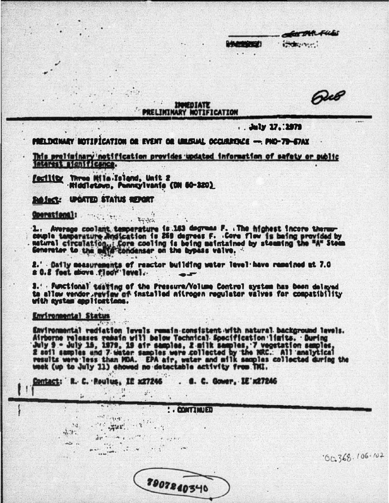Que

**TAR FUES** 

 $\left(\frac{1}{2},\frac{1}{2},\frac{1}{2},\frac{1}{2},\frac{1}{2},\frac{1}{2},\frac{1}{2},\frac{1}{2},\frac{1}{2},\frac{1}{2},\frac{1}{2},\frac{1}{2},\frac{1}{2},\frac{1}{2},\frac{1}{2},\frac{1}{2},\frac{1}{2},\frac{1}{2},\frac{1}{2},\frac{1}{2},\frac{1}{2},\frac{1}{2},\frac{1}{2},\frac{1}{2},\frac{1}{2},\frac{1}{2},\frac{1}{2},\frac{1}{2},\frac{1}{2},\frac{1}{2},\frac{1}{2},\$ 

INNEDIATE **PRELIMINARY NOTIFICATION** 

. . July 17. : 1979

**AAAMONDESTI** 

PRELDONARY NOTIFICATION OR EVENT OR UNUSUAL OCCURRENCE - PNO-79-57AX

This preliminary notification provides updated information of safety or public interest significance.

Facility Three Mille-Tstand, Unit 2<br>- Middletown, Pennsylvania (DN 60-320)

Baylor

 $\mathcal{P}(\cdot)$ 

**ROJect: UPDATED STATUS REPORT** 

## Coerstienal:

1. Average coolant, temperature is 143 degrees P. The highest incore there couple tamperature Andication is 260 degrees F. . Core flow is being provided by matural circulation, i Core cooling is being maintained by steming the "A" Stem

2.' Daily measurements of reactor building water level have remeined at 7.0<br># 0.2 feet above floor level...

3. Punctional testing of the Pressure/Volume Control system has been delayed ta allow vendor\_review of installed aiirogen regulator valves for compatibility with ayster applications.

## Environmental Status

 $34$  $-2.31$ 

 $\mathcal{L}$ 

Environmental rediation levels remain consistent with natural background lavels. Airborne releases remain will below Technical Specification limits. During<br>July 9 - July 15, 1979, 19 air samples, 2 milk samples, 7 vegetation samples,<br>2 soil samples and 7 water samples were collected by the NRC. All ana

. **a. C. Gower. IE' x27246** Contact: R. C. Roulus, IC x27246

 $\frac{1}{2}$  :

 $1.2.1$ 

 $\ddagger$ i

 $-741$ 

 $\mathbf{A} \mathbf{B} = \mathbf{A} \mathbf{A} + \mathbf{A} \mathbf{A} + \mathbf{A} \mathbf{A} + \mathbf{A} \mathbf{A} + \mathbf{A} \mathbf{A} + \mathbf{A} \mathbf{A} + \mathbf{A} \mathbf{A} + \mathbf{A} \mathbf{A} + \mathbf{A} \mathbf{A} + \mathbf{A} \mathbf{A} + \mathbf{A} \mathbf{A} + \mathbf{A} \mathbf{A} + \mathbf{A} \mathbf{A} + \mathbf{A} \mathbf{A} + \mathbf{A} \mathbf{A} + \mathbf{A} \mathbf{A}$ 

 $m = 1$ 

on the change of

**: CONTINUED** 

 $00368.106.102$